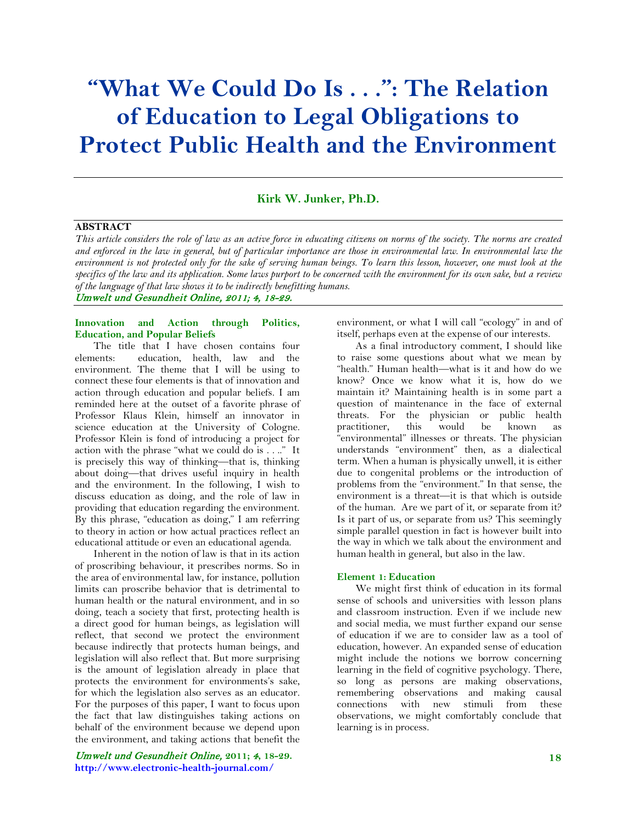# **"What We Could Do Is . . .": The Relation of Education to Legal Obligations to Protect Public Health and the Environment**

### **Kirk W. Junker, Ph.D.**

# **ABSTRACT**

*This article considers the role of law as an active force in educating citizens on norms of the society. The norms are created*  and enforced in the law in general, but of particular importance are those in environmental law. In environmental law the *environment is not protected only for the sake of serving human beings. To learn this lesson, however, one must look at the specifics of the law and its application. Some laws purport to be concerned with the environment for its own sake, but a review of the language of that law shows it to be indirectly benefitting humans.*

Umwelt und Gesundheit Online, 2011; 4, 18-29.

### **Innovation and Action through Politics, Education, and Popular Beliefs**

The title that I have chosen contains four<br>elements: education, health, law and the education, health, law and the environment. The theme that I will be using to connect these four elements is that of innovation and action through education and popular beliefs. I am reminded here at the outset of a favorite phrase of Professor Klaus Klein, himself an innovator in science education at the University of Cologne. Professor Klein is fond of introducing a project for action with the phrase "what we could do is . . .." It is precisely this way of thinking—that is, thinking about doing—that drives useful inquiry in health and the environment. In the following, I wish to discuss education as doing, and the role of law in providing that education regarding the environment. By this phrase, "education as doing," I am referring to theory in action or how actual practices reflect an educational attitude or even an educational agenda.

Inherent in the notion of law is that in its action of proscribing behaviour, it prescribes norms. So in the area of environmental law, for instance, pollution limits can proscribe behavior that is detrimental to human health or the natural environment, and in so doing, teach a society that first, protecting health is a direct good for human beings, as legislation will reflect, that second we protect the environment because indirectly that protects human beings, and legislation will also reflect that. But more surprising is the amount of legislation already in place that protects the environment for environments's sake, for which the legislation also serves as an educator. For the purposes of this paper, I want to focus upon the fact that law distinguishes taking actions on behalf of the environment because we depend upon the environment, and taking actions that benefit the

Umwelt und Gesundheit Online, **2011;** 4**, 18-29. http://www.electronic-health-journal.com/**

environment, or what I will call "ecology" in and of itself, perhaps even at the expense of our interests.

As a final introductory comment, I should like to raise some questions about what we mean by "health." Human health—what is it and how do we know? Once we know what it is, how do we maintain it? Maintaining health is in some part a question of maintenance in the face of external threats. For the physician or public health practitioner, this would be known as "environmental" illnesses or threats. The physician understands "environment" then, as a dialectical term. When a human is physically unwell, it is either due to congenital problems or the introduction of problems from the "environment." In that sense, the environment is a threat—it is that which is outside of the human. Are we part of it, or separate from it? Is it part of us, or separate from us? This seemingly simple parallel question in fact is however built into the way in which we talk about the environment and human health in general, but also in the law.

#### **Element 1: Education**

We might first think of education in its formal sense of schools and universities with lesson plans and classroom instruction. Even if we include new and social media, we must further expand our sense of education if we are to consider law as a tool of education, however. An expanded sense of education might include the notions we borrow concerning learning in the field of cognitive psychology. There, so long as persons are making observations, remembering observations and making causal connections with new stimuli from these observations, we might comfortably conclude that learning is in process.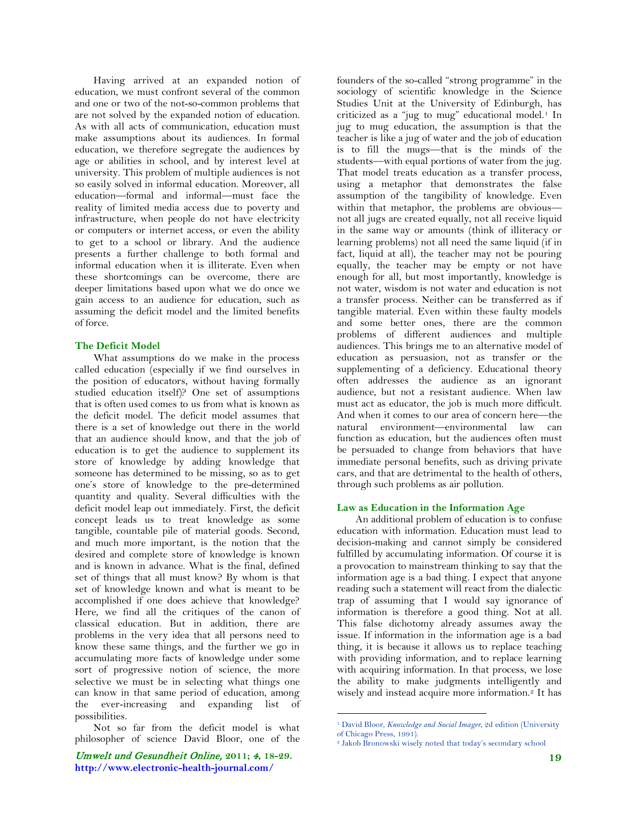Having arrived at an expanded notion of education, we must confront several of the common and one or two of the not-so-common problems that are not solved by the expanded notion of education. As with all acts of communication, education must make assumptions about its audiences. In formal education, we therefore segregate the audiences by age or abilities in school, and by interest level at university. This problem of multiple audiences is not so easily solved in informal education. Moreover, all education—formal and informal—must face the reality of limited media access due to poverty and infrastructure, when people do not have electricity or computers or internet access, or even the ability to get to a school or library. And the audience presents a further challenge to both formal and informal education when it is illiterate. Even when these shortcomings can be overcome, there are deeper limitations based upon what we do once we gain access to an audience for education, such as assuming the deficit model and the limited benefits of force.

### **The Deficit Model**

What assumptions do we make in the process called education (especially if we find ourselves in the position of educators, without having formally studied education itself)? One set of assumptions that is often used comes to us from what is known as the deficit model. The deficit model assumes that there is a set of knowledge out there in the world that an audience should know, and that the job of education is to get the audience to supplement its store of knowledge by adding knowledge that someone has determined to be missing, so as to get one's store of knowledge to the pre-determined quantity and quality. Several difficulties with the deficit model leap out immediately. First, the deficit concept leads us to treat knowledge as some tangible, countable pile of material goods. Second, and much more important, is the notion that the desired and complete store of knowledge is known and is known in advance. What is the final, defined set of things that all must know? By whom is that set of knowledge known and what is meant to be accomplished if one does achieve that knowledge? Here, we find all the critiques of the canon of classical education. But in addition, there are problems in the very idea that all persons need to know these same things, and the further we go in accumulating more facts of knowledge under some sort of progressive notion of science, the more selective we must be in selecting what things one can know in that same period of education, among the ever-increasing and expanding list of possibilities.

<span id="page-1-0"></span>Not so far from the deficit model is what philosopher of science David Bloor, one of the

<span id="page-1-1"></span>Umwelt und Gesundheit Online, **2011;** 4**, 18-29. http://www.electronic-health-journal.com/**

founders of the so-called "strong programme" in the sociology of scientific knowledge in the Science Studies Unit at the University of Edinburgh, has criticized as a "jug to mug" educational model.<sup>[1](#page-1-0)</sup> In jug to mug education, the assumption is that the teacher is like a jug of water and the job of education is to fill the mugs—that is the minds of the students—with equal portions of water from the jug. That model treats education as a transfer process, using a metaphor that demonstrates the false assumption of the tangibility of knowledge. Even within that metaphor, the problems are obvious not all jugs are created equally, not all receive liquid in the same way or amounts (think of illiteracy or learning problems) not all need the same liquid (if in fact, liquid at all), the teacher may not be pouring equally, the teacher may be empty or not have enough for all, but most importantly, knowledge is not water, wisdom is not water and education is not a transfer process. Neither can be transferred as if tangible material. Even within these faulty models and some better ones, there are the common problems of different audiences and multiple audiences. This brings me to an alternative model of education as persuasion, not as transfer or the supplementing of a deficiency. Educational theory often addresses the audience as an ignorant audience, but not a resistant audience. When law must act as educator, the job is much more difficult. And when it comes to our area of concern here—the natural environment—environmental law can function as education, but the audiences often must be persuaded to change from behaviors that have immediate personal benefits, such as driving private cars, and that are detrimental to the health of others, through such problems as air pollution.

#### **Law as Education in the Information Age**

An additional problem of education is to confuse education with information. Education must lead to decision-making and cannot simply be considered fulfilled by accumulating information. Of course it is a provocation to mainstream thinking to say that the information age is a bad thing. I expect that anyone reading such a statement will react from the dialectic trap of assuming that I would say ignorance of information is therefore a good thing. Not at all. This false dichotomy already assumes away the issue. If information in the information age is a bad thing, it is because it allows us to replace teaching with providing information, and to replace learning with acquiring information. In that process, we lose the ability to make judgments intelligently and wisely and instead acquire more information.<sup>[2](#page-1-1)</sup> It has

 <sup>1</sup> David Bloor, *Knowledge and Social Imager*, 2d edition (University of Chicago Press, 1991).

<sup>2</sup> Jakob Bronowski wisely noted that today's secondary school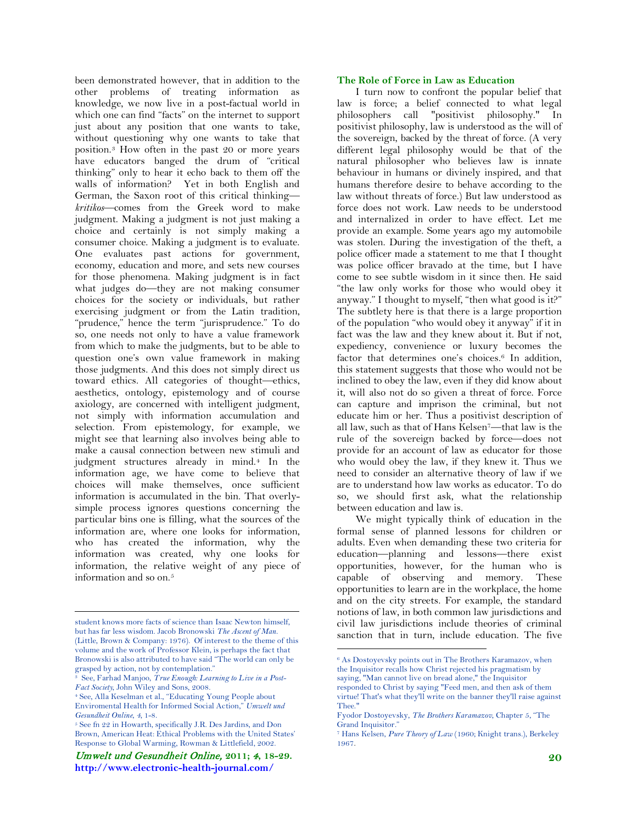been demonstrated however, that in addition to the other problems of treating information as knowledge, we now live in a post-factual world in which one can find "facts" on the internet to support just about any position that one wants to take, without questioning why one wants to take that position.[3](#page-2-0) How often in the past 20 or more years have educators banged the drum of "critical thinking" only to hear it echo back to them off the walls of information? Yet in both English and German, the Saxon root of this critical thinking *kritikos*—comes from the Greek word to make judgment. Making a judgment is not just making a choice and certainly is not simply making a consumer choice. Making a judgment is to evaluate. One evaluates past actions for government, economy, education and more, and sets new courses for those phenomena. Making judgment is in fact what judges do—they are not making consumer choices for the society or individuals, but rather exercising judgment or from the Latin tradition, "prudence," hence the term "jurisprudence." To do so, one needs not only to have a value framework from which to make the judgments, but to be able to question one's own value framework in making those judgments. And this does not simply direct us toward ethics. All categories of thought—ethics, aesthetics, ontology, epistemology and of course axiology, are concerned with intelligent judgment, not simply with information accumulation and selection. From epistemology, for example, we might see that learning also involves being able to make a causal connection between new stimuli and judgment structures already in mind[.4](#page-2-0) In the information age, we have come to believe that choices will make themselves, once sufficient information is accumulated in the bin. That overlysimple process ignores questions concerning the particular bins one is filling, what the sources of the information are, where one looks for information, who has created the information, why the information was created, why one looks for information, the relative weight of any piece of information and so on.[5](#page-2-0)

#### **The Role of Force in Law as Education**

I turn now to confront the popular belief that law is force; a belief connected to what legal philosophers call "positivist philosophy." In positivist philosophy, law is understood as the will of the sovereign, backed by the threat of force. (A very different legal philosophy would be that of the natural philosopher who believes law is innate behaviour in humans or divinely inspired, and that humans therefore desire to behave according to the law without threats of force.) But law understood as force does not work. Law needs to be understood and internalized in order to have effect. Let me provide an example. Some years ago my automobile was stolen. During the investigation of the theft, a police officer made a statement to me that I thought was police officer bravado at the time, but I have come to see subtle wisdom in it since then. He said "the law only works for those who would obey it anyway." I thought to myself, "then what good is it?" The subtlety here is that there is a large proportion of the population "who would obey it anyway" if it in fact was the law and they knew about it. But if not, expediency, convenience or luxury becomes the factor that determines one's choices.<sup>[6](#page-2-1)</sup> In addition, this statement suggests that those who would not be inclined to obey the law, even if they did know about it, will also not do so given a threat of force. Force can capture and imprison the criminal, but not educate him or her. Thus a positivist description of all law, such as that of Hans Kelsen[7](#page-2-1)—that law is the rule of the sovereign backed by force—does not provide for an account of law as educator for those who would obey the law, if they knew it. Thus we need to consider an alternative theory of law if we are to understand how law works as educator. To do so, we should first ask, what the relationship between education and law is.

We might typically think of education in the formal sense of planned lessons for children or adults. Even when demanding these two criteria for education—planning and lessons—there exist opportunities, however, for the human who is capable of observing and memory. These opportunities to learn are in the workplace, the home and on the city streets. For example, the standard notions of law, in both common law jurisdictions and civil law jurisdictions include theories of criminal sanction that in turn, include education. The five

<span id="page-2-0"></span>student knows more facts of science than Isaac Newton himself, but has far less wisdom. Jacob Bronowski *The Ascent of Man*. (Little, Brown & Company: 1976). Of interest to the theme of this volume and the work of Professor Klein, is perhaps the fact that Bronowski is also attributed to have said "The world can only be grasped by action, not by contemplation."

<span id="page-2-1"></span><sup>3</sup> See, Farhad Manjoo, *True Enough: Learning to Live in a Post-Fact Society*, John Wiley and Sons, 2008.

<sup>4</sup> See, Alla Keselman et al., "Educating Young People about Enviromental Health for Informed Social Action," *Umwelt und Gesundheit Online*, *4*, 1-8.

<sup>5</sup> See fn 22 in Howarth, specifically J.R. Des Jardins, and Don Brown, American Heat: Ethical Problems with the United States' Response to Global Warming, Rowman & Littlefield, 2002.

Umwelt und Gesundheit Online, **2011;** 4**, 18-29. http://www.electronic-health-journal.com/**

 <sup>6</sup> As Dostoyevsky points out in The Brothers Karamazov, when the Inquisitor recalls how Christ rejected his pragmatism by saying, "Man cannot live on bread alone," the Inquisitor responded to Christ by saying "Feed men, and then ask of them virtue! That's what they'll write on the banner they'll raise against Thee."

Fyodor Dostoyevsky, *The Brothers Karamazov*, Chapter 5, "The Grand Inquisitor."

<sup>7</sup> Hans Kelsen, *Pure Theory of Law* (1960; Knight trans.), Berkeley 1967.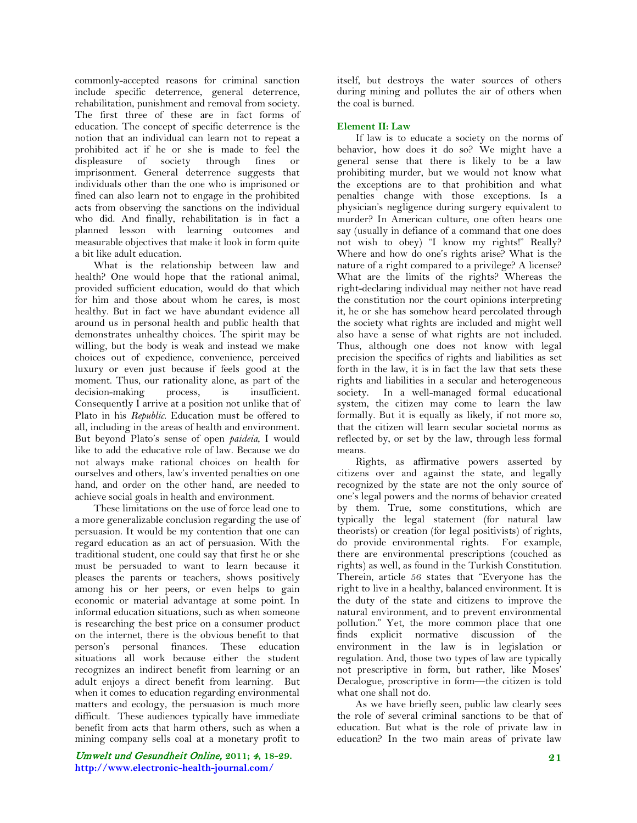commonly-accepted reasons for criminal sanction include specific deterrence, general deterrence, rehabilitation, punishment and removal from society. The first three of these are in fact forms of education. The concept of specific deterrence is the notion that an individual can learn not to repeat a prohibited act if he or she is made to feel the displeasure of society through fines or imprisonment. General deterrence suggests that individuals other than the one who is imprisoned or fined can also learn not to engage in the prohibited acts from observing the sanctions on the individual who did. And finally, rehabilitation is in fact a planned lesson with learning outcomes and measurable objectives that make it look in form quite a bit like adult education.

What is the relationship between law and health? One would hope that the rational animal, provided sufficient education, would do that which for him and those about whom he cares, is most healthy. But in fact we have abundant evidence all around us in personal health and public health that demonstrates unhealthy choices. The spirit may be willing, but the body is weak and instead we make choices out of expedience, convenience, perceived luxury or even just because if feels good at the moment. Thus, our rationality alone, as part of the decision-making process, is insufficient. Consequently I arrive at a position not unlike that of Plato in his *Republic*. Education must be offered to all, including in the areas of health and environment. But beyond Plato's sense of open *paideia*, I would like to add the educative role of law. Because we do not always make rational choices on health for ourselves and others, law's invented penalties on one hand, and order on the other hand, are needed to achieve social goals in health and environment.

These limitations on the use of force lead one to a more generalizable conclusion regarding the use of persuasion. It would be my contention that one can regard education as an act of persuasion. With the traditional student, one could say that first he or she must be persuaded to want to learn because it pleases the parents or teachers, shows positively among his or her peers, or even helps to gain economic or material advantage at some point. In informal education situations, such as when someone is researching the best price on a consumer product on the internet, there is the obvious benefit to that person's personal finances. These education situations all work because either the student recognizes an indirect benefit from learning or an adult enjoys a direct benefit from learning. But when it comes to education regarding environmental matters and ecology, the persuasion is much more difficult. These audiences typically have immediate benefit from acts that harm others, such as when a mining company sells coal at a monetary profit to

Umwelt und Gesundheit Online, **2011;** 4**, 18-29. http://www.electronic-health-journal.com/**

itself, but destroys the water sources of others during mining and pollutes the air of others when the coal is burned.

### **Element II: Law**

If law is to educate a society on the norms of behavior, how does it do so? We might have a general sense that there is likely to be a law prohibiting murder, but we would not know what the exceptions are to that prohibition and what penalties change with those exceptions. Is a physician's negligence during surgery equivalent to murder? In American culture, one often hears one say (usually in defiance of a command that one does not wish to obey) "I know my rights!" Really? Where and how do one's rights arise? What is the nature of a right compared to a privilege? A license? What are the limits of the rights? Whereas the right-declaring individual may neither not have read the constitution nor the court opinions interpreting it, he or she has somehow heard percolated through the society what rights are included and might well also have a sense of what rights are not included. Thus, although one does not know with legal precision the specifics of rights and liabilities as set forth in the law, it is in fact the law that sets these rights and liabilities in a secular and heterogeneous society. In a well-managed formal educational system, the citizen may come to learn the law formally. But it is equally as likely, if not more so, that the citizen will learn secular societal norms as reflected by, or set by the law, through less formal means.

Rights, as affirmative powers asserted by citizens over and against the state, and legally recognized by the state are not the only source of one's legal powers and the norms of behavior created by them. True, some constitutions, which are typically the legal statement (for natural law theorists) or creation (for legal positivists) of rights, do provide environmental rights. For example, there are environmental prescriptions (couched as rights) as well, as found in the Turkish Constitution. Therein, article 56 states that "Everyone has the right to live in a healthy, balanced environment. It is the duty of the state and citizens to improve the natural environment, and to prevent environmental pollution." Yet, the more common place that one finds explicit normative discussion of the environment in the law is in legislation or regulation. And, those two types of law are typically not prescriptive in form, but rather, like Moses' Decalogue, proscriptive in form—the citizen is told what one shall not do.

As we have briefly seen, public law clearly sees the role of several criminal sanctions to be that of education. But what is the role of private law in education? In the two main areas of private law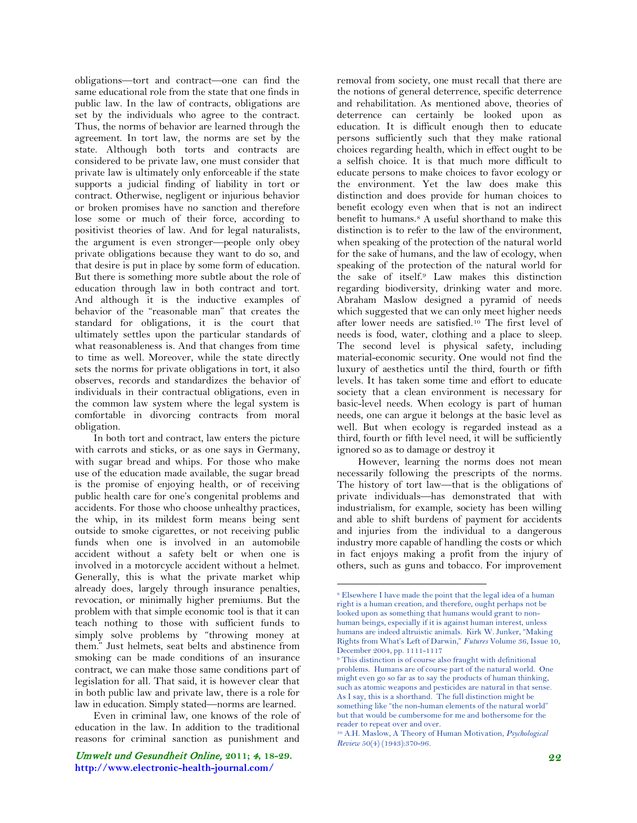obligations—tort and contract—one can find the same educational role from the state that one finds in public law. In the law of contracts, obligations are set by the individuals who agree to the contract. Thus, the norms of behavior are learned through the agreement. In tort law, the norms are set by the state. Although both torts and contracts are considered to be private law, one must consider that private law is ultimately only enforceable if the state supports a judicial finding of liability in tort or contract. Otherwise, negligent or injurious behavior or broken promises have no sanction and therefore lose some or much of their force, according to positivist theories of law. And for legal naturalists, the argument is even stronger—people only obey private obligations because they want to do so, and that desire is put in place by some form of education. But there is something more subtle about the role of education through law in both contract and tort. And although it is the inductive examples of behavior of the "reasonable man" that creates the standard for obligations, it is the court that ultimately settles upon the particular standards of what reasonableness is. And that changes from time to time as well. Moreover, while the state directly sets the norms for private obligations in tort, it also observes, records and standardizes the behavior of individuals in their contractual obligations, even in the common law system where the legal system is comfortable in divorcing contracts from moral obligation.

In both tort and contract, law enters the picture with carrots and sticks, or as one says in Germany, with sugar bread and whips. For those who make use of the education made available, the sugar bread is the promise of enjoying health, or of receiving public health care for one's congenital problems and accidents. For those who choose unhealthy practices, the whip, in its mildest form means being sent outside to smoke cigarettes, or not receiving public funds when one is involved in an automobile accident without a safety belt or when one is involved in a motorcycle accident without a helmet. Generally, this is what the private market whip already does, largely through insurance penalties, revocation, or minimally higher premiums. But the problem with that simple economic tool is that it can teach nothing to those with sufficient funds to simply solve problems by "throwing money at them." Just helmets, seat belts and abstinence from smoking can be made conditions of an insurance contract, we can make those same conditions part of legislation for all. That said, it is however clear that in both public law and private law, there is a role for law in education. Simply stated—norms are learned.

<span id="page-4-0"></span>Even in criminal law, one knows of the role of education in the law. In addition to the traditional reasons for criminal sanction as punishment and

removal from society, one must recall that there are the notions of general deterrence, specific deterrence and rehabilitation. As mentioned above, theories of deterrence can certainly be looked upon as education. It is difficult enough then to educate persons sufficiently such that they make rational choices regarding health, which in effect ought to be a selfish choice. It is that much more difficult to educate persons to make choices to favor ecology or the environment. Yet the law does make this distinction and does provide for human choices to benefit ecology even when that is not an indirect benefit to humans.<sup>[8](#page-4-0)</sup> A useful shorthand to make this distinction is to refer to the law of the environment, when speaking of the protection of the natural world for the sake of humans, and the law of ecology, when speaking of the protection of the natural world for the sake of itself[.9](#page-4-0) Law makes this distinction regarding biodiversity, drinking water and more. Abraham Maslow designed a pyramid of needs which suggested that we can only meet higher needs after lower needs are satisfied.[10](#page-4-0) The first level of needs is food, water, clothing and a place to sleep. The second level is physical safety, including material-economic security. One would not find the luxury of aesthetics until the third, fourth or fifth levels. It has taken some time and effort to educate society that a clean environment is necessary for basic-level needs. When ecology is part of human needs, one can argue it belongs at the basic level as well. But when ecology is regarded instead as a third, fourth or fifth level need, it will be sufficiently ignored so as to damage or destroy it

However, learning the norms does not mean necessarily following the prescripts of the norms. The history of tort law—that is the obligations of private individuals—has demonstrated that with industrialism, for example, society has been willing and able to shift burdens of payment for accidents and injuries from the individual to a dangerous industry more capable of handling the costs or which in fact enjoys making a profit from the injury of others, such as guns and tobacco. For improvement

 <sup>8</sup> Elsewhere I have made the point that the legal idea of a human right is a human creation, and therefore, ought perhaps not be looked upon as something that humans would grant to nonhuman beings, especially if it is against human interest, unless humans are indeed altruistic animals. Kirk W. Junker, "Making Rights from What's Left of Darwin," *Futures* Volume 36, Issue 10, December 2004, pp. 1111-1117

<sup>&</sup>lt;sup>9</sup> This distinction is of course also fraught with definitional problems. Humans are of course part of the natural world. One might even go so far as to say the products of human thinking, such as atomic weapons and pesticides are natural in that sense. As I say, this is a shorthand. The full distinction might be something like "the non-human elements of the natural world" but that would be cumbersome for me and bothersome for the reader to repeat over and over.

<sup>10</sup> A.H. Maslow, A Theory of Human Motivation, *Psychological Review* 50(4) (1943):370-96.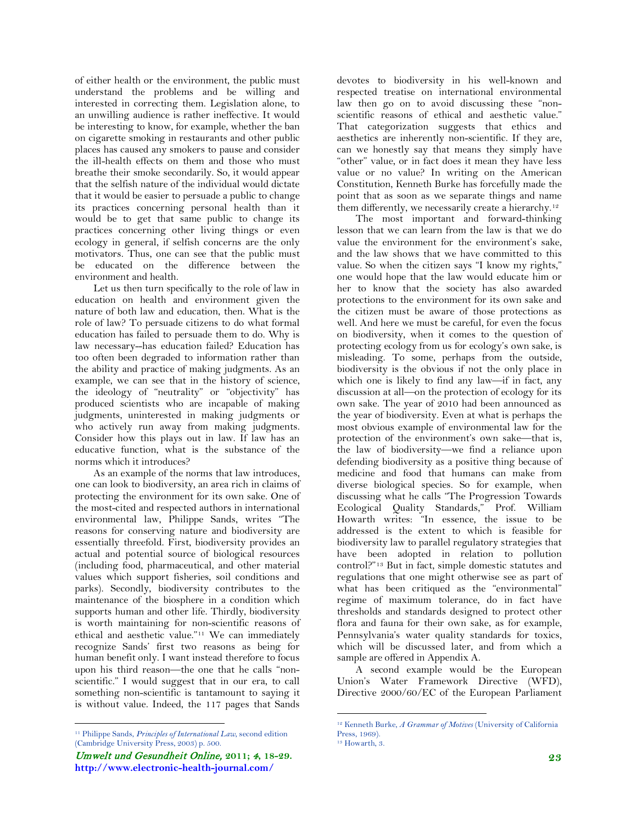of either health or the environment, the public must understand the problems and be willing and interested in correcting them. Legislation alone, to an unwilling audience is rather ineffective. It would be interesting to know, for example, whether the ban on cigarette smoking in restaurants and other public places has caused any smokers to pause and consider the ill-health effects on them and those who must breathe their smoke secondarily. So, it would appear that the selfish nature of the individual would dictate that it would be easier to persuade a public to change its practices concerning personal health than it would be to get that same public to change its practices concerning other living things or even ecology in general, if selfish concerns are the only motivators. Thus, one can see that the public must be educated on the difference between the environment and health.

Let us then turn specifically to the role of law in education on health and environment given the nature of both law and education, then. What is the role of law? To persuade citizens to do what formal education has failed to persuade them to do. Why is law necessary--has education failed? Education has too often been degraded to information rather than the ability and practice of making judgments. As an example, we can see that in the history of science, the ideology of "neutrality" or "objectivity" has produced scientists who are incapable of making judgments, uninterested in making judgments or who actively run away from making judgments. Consider how this plays out in law. If law has an educative function, what is the substance of the norms which it introduces?

As an example of the norms that law introduces, one can look to biodiversity, an area rich in claims of protecting the environment for its own sake. One of the most-cited and respected authors in international environmental law, Philippe Sands, writes "The reasons for conserving nature and biodiversity are essentially threefold. First, biodiversity provides an actual and potential source of biological resources (including food, pharmaceutical, and other material values which support fisheries, soil conditions and parks). Secondly, biodiversity contributes to the maintenance of the biosphere in a condition which supports human and other life. Thirdly, biodiversity is worth maintaining for non-scientific reasons of ethical and aesthetic value."[11](#page-5-0) We can immediately recognize Sands' first two reasons as being for human benefit only. I want instead therefore to focus upon his third reason—the one that he calls "nonscientific." I would suggest that in our era, to call something non-scientific is tantamount to saying it is without value. Indeed, the 117 pages that Sands

devotes to biodiversity in his well-known and respected treatise on international environmental law then go on to avoid discussing these "nonscientific reasons of ethical and aesthetic value." That categorization suggests that ethics and aesthetics are inherently non-scientific. If they are, can we honestly say that means they simply have "other" value, or in fact does it mean they have less value or no value? In writing on the American Constitution, Kenneth Burke has forcefully made the point that as soon as we separate things and name them differently, we necessarily create a hierarchy.[12](#page-5-1)

The most important and forward-thinking lesson that we can learn from the law is that we do value the environment for the environment's sake, and the law shows that we have committed to this value. So when the citizen says "I know my rights," one would hope that the law would educate him or her to know that the society has also awarded protections to the environment for its own sake and the citizen must be aware of those protections as well. And here we must be careful, for even the focus on biodiversity, when it comes to the question of protecting ecology from us for ecology's own sake, is misleading. To some, perhaps from the outside, biodiversity is the obvious if not the only place in which one is likely to find any law—if in fact, any discussion at all—on the protection of ecology for its own sake. The year of 2010 had been announced as the year of biodiversity. Even at what is perhaps the most obvious example of environmental law for the protection of the environment's own sake—that is, the law of biodiversity—we find a reliance upon defending biodiversity as a positive thing because of medicine and food that humans can make from diverse biological species. So for example, when discussing what he calls "The Progression Towards Ecological Quality Standards," Prof. William Howarth writes: "In essence, the issue to be addressed is the extent to which is feasible for biodiversity law to parallel regulatory strategies that have been adopted in relation to pollution control?"[13](#page-5-1) But in fact, simple domestic statutes and regulations that one might otherwise see as part of what has been critiqued as the "environmental" regime of maximum tolerance, do in fact have thresholds and standards designed to protect other flora and fauna for their own sake, as for example, Pennsylvania's water quality standards for toxics, which will be discussed later, and from which a sample are offered in Appendix A.

A second example would be the European Union's Water Framework Directive (WFD), Directive 2000/60/EC of the European Parliament

<span id="page-5-1"></span><span id="page-5-0"></span> <sup>11</sup> Philippe Sands, *Principles of International Law*, second edition (Cambridge University Press, 2003) p. 500.

Umwelt und Gesundheit Online, **2011;** 4**, 18-29. http://www.electronic-health-journal.com/**

 <sup>12</sup> Kenneth Burke, *A Grammar of Motives* (University of California Press, 1969).

<sup>&</sup>lt;sup>13</sup> Howarth, 3.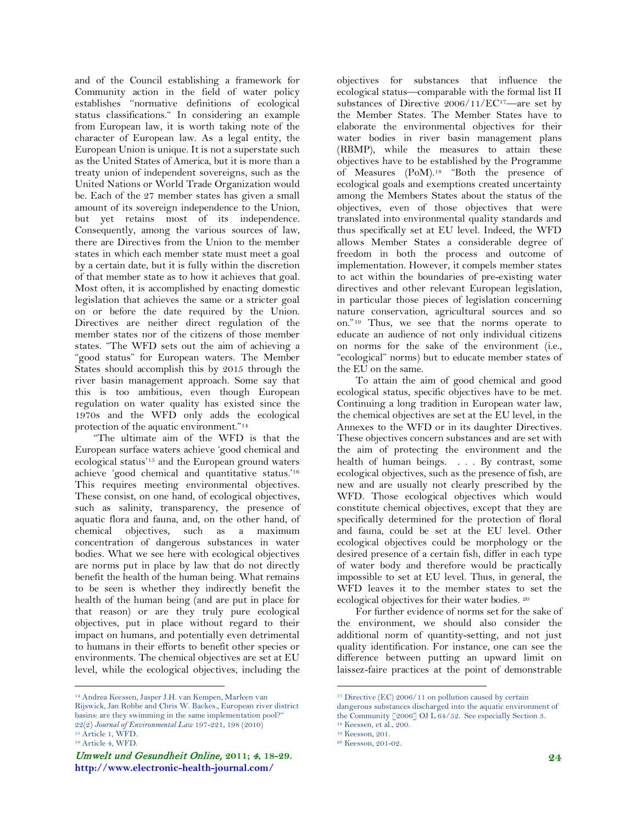and of the Council establishing a framework for Community action in the field of water policy establishes ''normative definitions of ecological status classifications." In considering an example from European law, it is worth taking note of the character of European law. As a legal entity, the European Union is unique. It is not a superstate such as the United States of America, but it is more than a treaty union of independent sovereigns, such as the United Nations or World Trade Organization would be. Each of the 27 member states has given a small amount of its sovereign independence to the Union, but yet retains most of its independence. Consequently, among the various sources of law, there are Directives from the Union to the member states in which each member state must meet a goal by a certain date, but it is fully within the discretion of that member state as to how it achieves that goal. Most often, it is accomplished by enacting domestic legislation that achieves the same or a stricter goal on or before the date required by the Union. Directives are neither direct regulation of the member states nor of the citizens of those member states. "The WFD sets out the aim of achieving a "good status" for European waters. The Member States should accomplish this by 2015 through the river basin management approach. Some say that this is too ambitious, even though European regulation on water quality has existed since the 1970s and the WFD only adds the ecological protection of the aquatic environment."[14](#page-6-0)

"The ultimate aim of the WFD is that the European surface waters achieve 'good chemical and ecological status['15](#page-6-0) and the European ground waters achieve 'good chemical and quantitative status.['16](#page-6-0) This requires meeting environmental objectives. These consist, on one hand, of ecological objectives, such as salinity, transparency, the presence of aquatic flora and fauna, and, on the other hand, of chemical objectives, such as a maximum concentration of dangerous substances in water bodies. What we see here with ecological objectives are norms put in place by law that do not directly benefit the health of the human being. What remains to be seen is whether they indirectly benefit the health of the human being (and are put in place for that reason) or are they truly pure ecological objectives, put in place without regard to their impact on humans, and potentially even detrimental to humans in their efforts to benefit other species or environments. The chemical objectives are set at EU level, while the ecological objectives, including the

objectives for substances that influence the ecological status—comparable with the formal list II substances of Directive 2006/11/E[C17—](#page-6-0)are set by the Member States. The Member States have to elaborate the environmental objectives for their water bodies in river basin management plans (RBMP), while the measures to attain these objectives have to be established by the Programme of Measures (PoM).[18](#page-6-0) "Both the presence of ecological goals and exemptions created uncertainty among the Members States about the status of the objectives, even of those objectives that were translated into environmental quality standards and thus specifically set at EU level. Indeed, the WFD allows Member States a considerable degree of freedom in both the process and outcome of implementation. However, it compels member states to act within the boundaries of pre-existing water directives and other relevant European legislation, in particular those pieces of legislation concerning nature conservation, agricultural sources and so on."[19](#page-6-0) Thus, we see that the norms operate to educate an audience of not only individual citizens on norms for the sake of the environment (i.e., "ecological" norms) but to educate member states of the EU on the same.

To attain the aim of good chemical and good ecological status, specific objectives have to be met. Continuing a long tradition in European water law, the chemical objectives are set at the EU level, in the Annexes to the WFD or in its daughter Directives. These objectives concern substances and are set with the aim of protecting the environment and the health of human beings. . . . By contrast, some ecological objectives, such as the presence of fish, are new and are usually not clearly prescribed by the WFD. Those ecological objectives which would constitute chemical objectives, except that they are specifically determined for the protection of floral and fauna, could be set at the EU level. Other ecological objectives could be morphology or the desired presence of a certain fish, differ in each type of water body and therefore would be practically impossible to set at EU level. Thus, in general, the WFD leaves it to the member states to set the ecological objectives for their water bodies. [20](#page-6-0)

For further evidence of norms set for the sake of the environment, we should also consider the additional norm of quantity-setting, and not just quality identification. For instance, one can see the difference between putting an upward limit on laissez-faire practices at the point of demonstrable

<span id="page-6-0"></span> <sup>14</sup> Andrea Keessen, Jasper J.H. van Kempen, Marleen van Rijswick, Jan Robbe and Chris W. Backes., European river district basins: are they swimming in the same implementation pool?" 22(2) *Journal of Environmental Law* 197-221, 198 (2010) <sup>15</sup> Article 1, WFD. <sup>16</sup> Article 4, WFD.

Umwelt und Gesundheit Online, **2011;** 4**, 18-29. http://www.electronic-health-journal.com/**

<sup>&</sup>lt;sup>17</sup> Directive (EC) 2006/11 on pollution caused by certain

dangerous substances discharged into the aquatic environment of the Community [2006] OJ L 64/52. See especially Section 3.

<sup>18</sup> Keessen, et al., 200.

<sup>19</sup> Keesson, 201.

<sup>20</sup> Keesson, 201-02.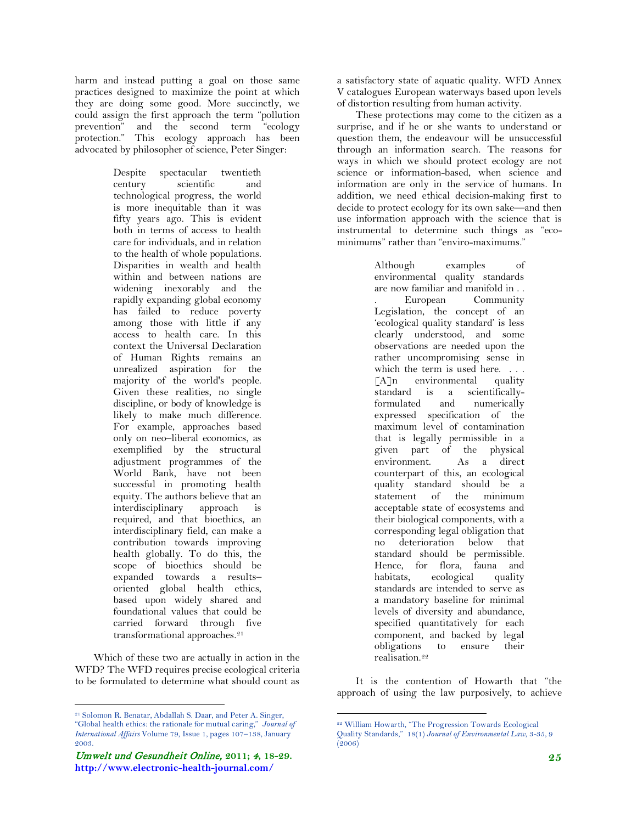harm and instead putting a goal on those same practices designed to maximize the point at which they are doing some good. More succinctly, we could assign the first approach the term "pollution prevention" and the second term "ecology protection." This ecology approach has been advocated by philosopher of science, Peter Singer:

> Despite spectacular twentieth century scientific and technological progress, the world is more inequitable than it was fifty years ago. This is evident both in terms of access to health care for individuals, and in relation to the health of whole populations. Disparities in wealth and health within and between nations are widening inexorably and the rapidly expanding global economy has failed to reduce poverty among those with little if any access to health care. In this context the Universal Declaration of Human Rights remains an unrealized aspiration for the majority of the world's people. Given these realities, no single discipline, or body of knowledge is likely to make much difference. For example, approaches based only on neo–liberal economics, as exemplified by the structural adjustment programmes of the World Bank, have not been successful in promoting health equity. The authors believe that an interdisciplinary approach is required, and that bioethics, an interdisciplinary field, can make a contribution towards improving health globally. To do this, the scope of bioethics should be expanded towards a results– oriented global health ethics, based upon widely shared and foundational values that could be carried forward through five transformational approaches.<sup>[21](#page-7-0)</sup>

Which of these two are actually in action in the WFD? The WFD requires precise ecological criteria to be formulated to determine what should count as a satisfactory state of aquatic quality. WFD Annex V catalogues European waterways based upon levels of distortion resulting from human activity.

These protections may come to the citizen as a surprise, and if he or she wants to understand or question them, the endeavour will be unsuccessful through an information search. The reasons for ways in which we should protect ecology are not science or information-based, when science and information are only in the service of humans. In addition, we need ethical decision-making first to decide to protect ecology for its own sake—and then use information approach with the science that is instrumental to determine such things as "ecominimums" rather than "enviro-maximums."

> Although examples of environmental quality standards are now familiar and manifold in . . . European Community Legislation, the concept of an 'ecological quality standard' is less clearly understood, and some observations are needed upon the rather uncompromising sense in which the term is used here. . . .  $\lceil A \rceil$ n environmental quality standard is a scientificallyformulated and numerically expressed specification of the maximum level of contamination that is legally permissible in a given part of the physical environment. As a direct counterpart of this, an ecological quality standard should be a statement of the minimum acceptable state of ecosystems and their biological components, with a corresponding legal obligation that no deterioration below that standard should be permissible. Hence, for flora, fauna and habitats, ecological quality standards are intended to serve as a mandatory baseline for minimal levels of diversity and abundance, specified quantitatively for each component, and backed by legal obligations to ensure their realisation.[22](#page-7-1)

It is the contention of Howarth that "the approach of using the law purposively, to achieve

<span id="page-7-1"></span><span id="page-7-0"></span> <sup>21</sup> Solomon R. Benatar, Abdallah S. Daar, and Peter A. Singer, "Global health ethics: the rationale for mutual caring," *Journal of International Affairs* Volume 79, Issue 1, pages 107–138, January 2003.

Umwelt und Gesundheit Online, **2011;** 4**, 18-29. http://www.electronic-health-journal.com/**

 <sup>22</sup> William Howarth, "The Progression Towards Ecological Quality Standards," 18(1) *Journal of Environmental Law*, 3-35, 9 (2006)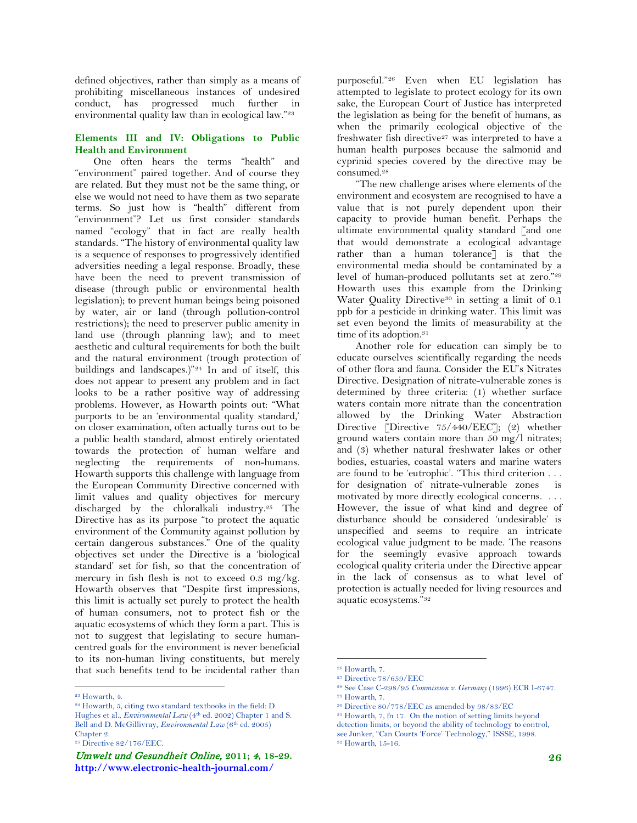defined objectives, rather than simply as a means of prohibiting miscellaneous instances of undesired conduct, has progressed much further in environmental quality law than in ecological law."<sup>23</sup>

#### **Elements III and IV: Obligations to Public Health and Environment**

One often hears the terms "health" and "environment" paired together. And of course they are related. But they must not be the same thing, or else we would not need to have them as two separate terms. So just how is "health" different from "environment"? Let us first consider standards named "ecology" that in fact are really health standards. "The history of environmental quality law is a sequence of responses to progressively identified adversities needing a legal response. Broadly, these have been the need to prevent transmission of disease (through public or environmental health legislation); to prevent human beings being poisoned by water, air or land (through pollution-control restrictions); the need to preserver public amenity in land use (through planning law); and to meet aesthetic and cultural requirements for both the built and the natural environment (trough protection of buildings and landscapes.)["24](#page-8-0) In and of itself, this does not appear to present any problem and in fact looks to be a rather positive way of addressing problems. However, as Howarth points out: "What purports to be an 'environmental quality standard,' on closer examination, often actually turns out to be a public health standard, almost entirely orientated towards the protection of human welfare and neglecting the requirements of non-humans. Howarth supports this challenge with language from the European Community Directive concerned with limit values and quality objectives for mercury discharged by the chloralkali industry.[25](#page-8-0) The Directive has as its purpose "to protect the aquatic environment of the Community against pollution by certain dangerous substances." One of the quality objectives set under the Directive is a 'biological standard' set for fish, so that the concentration of mercury in fish flesh is not to exceed 0.3 mg/kg. Howarth observes that "Despite first impressions, this limit is actually set purely to protect the health of human consumers, not to protect fish or the aquatic ecosystems of which they form a part. This is not to suggest that legislating to secure humancentred goals for the environment is never beneficial to its non-human living constituents, but merely that such benefits tend to be incidental rather than

purposeful."[26](#page-8-1) Even when EU legislation has attempted to legislate to protect ecology for its own sake, the European Court of Justice has interpreted the legislation as being for the benefit of humans, as when the primarily ecological objective of the freshwater fish directive<sup>[27](#page-8-1)</sup> was interpreted to have a human health purposes because the salmonid and cyprinid species covered by the directive may be consumed[.28](#page-8-1)

"The new challenge arises where elements of the environment and ecosystem are recognised to have a value that is not purely dependent upon their capacity to provide human benefit. Perhaps the ultimate environmental quality standard [and one that would demonstrate a ecological advantage rather than a human tolerance] is that the environmental media should be contaminated by a level of human-produced pollutants set at zero.["29](#page-8-1) Howarth uses this example from the Drinking Water Quality Directive<sup>[30](#page-8-1)</sup> in setting a limit of 0.1 ppb for a pesticide in drinking water. This limit was set even beyond the limits of measurability at the time of its adoption.<sup>[31](#page-8-1)</sup>

Another role for education can simply be to educate ourselves scientifically regarding the needs of other flora and fauna. Consider the EU's Nitrates Directive. Designation of nitrate-vulnerable zones is determined by three criteria: (1) whether surface waters contain more nitrate than the concentration allowed by the Drinking Water Abstraction Directive [Directive 75/440/EEC]; (2) whether ground waters contain more than 50 mg/l nitrates; and (3) whether natural freshwater lakes or other bodies, estuaries, coastal waters and marine waters are found to be 'eutrophic'. "This third criterion . . . for designation of nitrate-vulnerable zones is motivated by more directly ecological concerns. . . . However, the issue of what kind and degree of disturbance should be considered 'undesirable' is unspecified and seems to require an intricate ecological value judgment to be made. The reasons for the seemingly evasive approach towards ecological quality criteria under the Directive appear in the lack of consensus as to what level of protection is actually needed for living resources and aquatic ecosystems."[32](#page-8-1)

<span id="page-8-1"></span><span id="page-8-0"></span> <sup>23</sup> Howarth, 4.

<sup>24</sup> Howarth, 5, citing two standard textbooks in the field: D. Hughes et al., *Environmental Law* (4<sup>th</sup> ed. 2002) Chapter 1 and S. Bell and D. McGillivray, *Environmental Law* (6<sup>th</sup> ed. 2005) Chapter 2.

<sup>&</sup>lt;sup>25</sup> Directive 82/176/EEC.

Umwelt und Gesundheit Online, **2011;** 4**, 18-29. http://www.electronic-health-journal.com/**

 <sup>26</sup> Howarth, 7.

<sup>27</sup> Directive 78/659/EEC

<sup>28</sup> See Case C-298/95 *Commission v. Germany* (1996) ECR I-6747.

<sup>29</sup> Howarth, 7.

<sup>30</sup> Directive 80/778/EEC as amended by 98/83/EC

<sup>31</sup> Howarth, 7, fn 17. On the notion of setting limits beyond detection limits, or beyond the ability of technology to control, see Junker, "Can Courts 'Force' Technology," ISSSE, 1998. <sup>32</sup> Howarth, 15-16.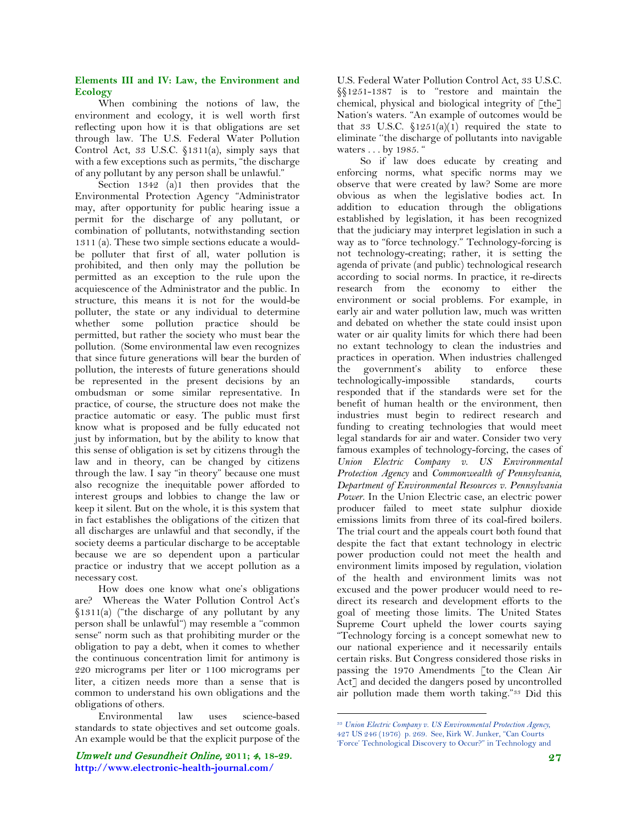#### **Elements III and IV: Law, the Environment and Ecology**

When combining the notions of law, the environment and ecology, it is well worth first reflecting upon how it is that obligations are set through law. The U.S. Federal Water Pollution Control Act, 33 U.S.C. §1311(a), simply says that with a few exceptions such as permits, "the discharge of any pollutant by any person shall be unlawful."

Section 1342 (a)1 then provides that the Environmental Protection Agency "Administrator may, after opportunity for public hearing issue a permit for the discharge of any pollutant, or combination of pollutants, notwithstanding section 1311 (a). These two simple sections educate a wouldbe polluter that first of all, water pollution is prohibited, and then only may the pollution be permitted as an exception to the rule upon the acquiescence of the Administrator and the public. In structure, this means it is not for the would-be polluter, the state or any individual to determine whether some pollution practice should be permitted, but rather the society who must bear the pollution. (Some environmental law even recognizes that since future generations will bear the burden of pollution, the interests of future generations should be represented in the present decisions by an ombudsman or some similar representative. In practice, of course, the structure does not make the practice automatic or easy. The public must first know what is proposed and be fully educated not just by information, but by the ability to know that this sense of obligation is set by citizens through the law and in theory, can be changed by citizens through the law. I say "in theory" because one must also recognize the inequitable power afforded to interest groups and lobbies to change the law or keep it silent. But on the whole, it is this system that in fact establishes the obligations of the citizen that all discharges are unlawful and that secondly, if the society deems a particular discharge to be acceptable because we are so dependent upon a particular practice or industry that we accept pollution as a necessary cost.

How does one know what one's obligations are? Whereas the Water Pollution Control Act's §1311(a) ("the discharge of any pollutant by any person shall be unlawful") may resemble a ''common sense" norm such as that prohibiting murder or the obligation to pay a debt, when it comes to whether the continuous concentration limit for antimony is 220 micrograms per liter or 1100 micrograms per liter, a citizen needs more than a sense that is common to understand his own obligations and the obligations of others.

<span id="page-9-0"></span>Environmental law uses science-based standards to state objectives and set outcome goals. An example would be that the explicit purpose of the

Umwelt und Gesundheit Online, **2011;** 4**, 18-29. http://www.electronic-health-journal.com/**

U.S. Federal Water Pollution Control Act, 33 U.S.C. §§1251-1387 is to "restore and maintain the chemical, physical and biological integrity of [the] Nation's waters. "An example of outcomes would be that 33 U.S.C.  $$1251(a)(1)$  required the state to eliminate ''the discharge of pollutants into navigable waters . . . by 1985. "

So if law does educate by creating and enforcing norms, what specific norms may we observe that were created by law? Some are more obvious as when the legislative bodies act. In addition to education through the obligations established by legislation, it has been recognized that the judiciary may interpret legislation in such a way as to "force technology." Technology-forcing is not technology-creating; rather, it is setting the agenda of private (and public) technological research according to social norms. In practice, it re-directs research from the economy to either the environment or social problems. For example, in early air and water pollution law, much was written and debated on whether the state could insist upon water or air quality limits for which there had been no extant technology to clean the industries and practices in operation. When industries challenged the government's ability to enforce these technologically-impossible standards, courts responded that if the standards were set for the benefit of human health or the environment, then industries must begin to redirect research and funding to creating technologies that would meet legal standards for air and water. Consider two very famous examples of technology-forcing, the cases of *Union Electric Company v. US Environmental Protection Agency* and *Commonwealth of Pennsylvania, Department of Environmental Resources v. Pennsylvania Power*. In the Union Electric case, an electric power producer failed to meet state sulphur dioxide emissions limits from three of its coal-fired boilers. The trial court and the appeals court both found that despite the fact that extant technology in electric power production could not meet the health and environment limits imposed by regulation, violation of the health and environment limits was not excused and the power producer would need to redirect its research and development efforts to the goal of meeting those limits. The United States Supreme Court upheld the lower courts saying "Technology forcing is a concept somewhat new to our national experience and it necessarily entails certain risks. But Congress considered those risks in passing the 1970 Amendments [to the Clean Air Act] and decided the dangers posed by uncontrolled air pollution made them worth taking."[33](#page-9-0) Did this

 <sup>33</sup> *Union Electric Company v. US Environmental Protection Agency,*  427 US 246 (1976) p. 269. See, Kirk W. Junker, "Can Courts

<sup>&#</sup>x27;Force' Technological Discovery to Occur?" in Technology and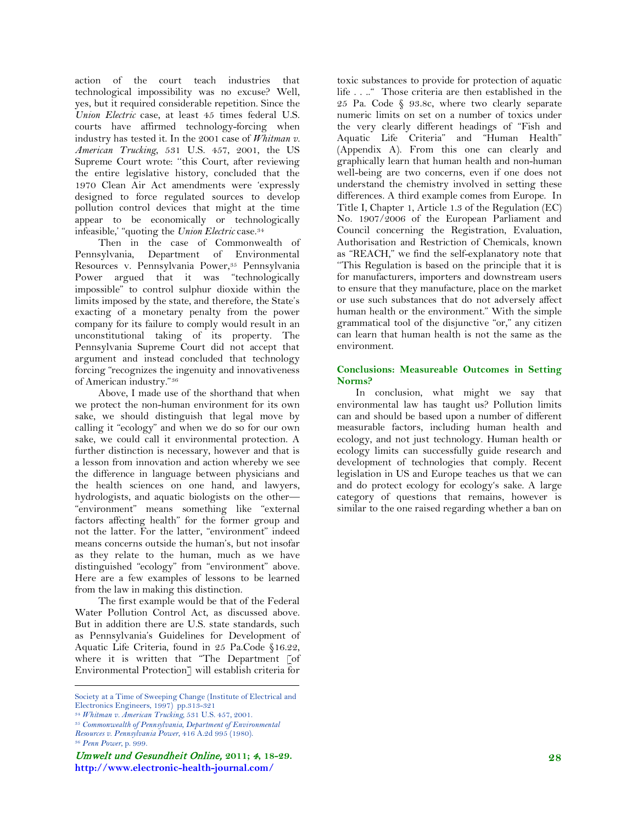action of the court teach industries that technological impossibility was no excuse? Well, yes, but it required considerable repetition. Since the *Union Electric* case, at least 45 times federal U.S. courts have affirmed technology-forcing when industry has tested it. In the 2001 case of *Whitman v. American Trucking*, 531 U.S. 457, 2001, the US Supreme Court wrote: ''this Court, after reviewing the entire legislative history, concluded that the 1970 Clean Air Act amendments were 'expressly designed to force regulated sources to develop pollution control devices that might at the time appear to be economically or technologically infeasible,' "quoting the *Union Electric* case[.34](#page-10-0)

Then in the case of Commonwealth of Pennsylvania, Department of Environmental Resources v. Pennsylvania Power,<sup>35</sup> Pennsylvania Power argued that it was "technologically impossible" to control sulphur dioxide within the limits imposed by the state, and therefore, the State's exacting of a monetary penalty from the power company for its failure to comply would result in an unconstitutional taking of its property. The Pennsylvania Supreme Court did not accept that argument and instead concluded that technology forcing "recognizes the ingenuity and innovativeness of American industry."[36](#page-10-0)

Above, I made use of the shorthand that when we protect the non-human environment for its own sake, we should distinguish that legal move by calling it "ecology" and when we do so for our own sake, we could call it environmental protection. A further distinction is necessary, however and that is a lesson from innovation and action whereby we see the difference in language between physicians and the health sciences on one hand, and lawyers, hydrologists, and aquatic biologists on the other— "environment" means something like "external factors affecting health" for the former group and not the latter. For the latter, "environment" indeed means concerns outside the human's, but not insofar as they relate to the human, much as we have distinguished "ecology" from "environment" above. Here are a few examples of lessons to be learned from the law in making this distinction.

The first example would be that of the Federal Water Pollution Control Act, as discussed above. But in addition there are U.S. state standards, such as Pennsylvania's Guidelines for Development of Aquatic Life Criteria, found in 25 Pa.Code §16.22, where it is written that "The Department [of Environmental Protection] will establish criteria for

<sup>36</sup> *Penn Power*, p. 999.

toxic substances to provide for protection of aquatic life . . .." Those criteria are then established in the 25 Pa. Code § 93.8c, where two clearly separate numeric limits on set on a number of toxics under the very clearly different headings of "Fish and Aquatic Life Criteria" and "Human Health" (Appendix A). From this one can clearly and graphically learn that human health and non-human well-being are two concerns, even if one does not understand the chemistry involved in setting these differences. A third example comes from Europe. In Title I, Chapter 1, Article 1.3 of the Regulation (EC) No. 1907/2006 of the European Parliament and Council concerning the Registration, Evaluation, Authorisation and Restriction of Chemicals, known as "REACH," we find the self-explanatory note that ''This Regulation is based on the principle that it is for manufacturers, importers and downstream users to ensure that they manufacture, place on the market or use such substances that do not adversely affect human health or the environment." With the simple grammatical tool of the disjunctive "or," any citizen can learn that human health is not the same as the environment.

## **Conclusions: Measureable Outcomes in Setting Norms?**

In conclusion, what might we say that environmental law has taught us? Pollution limits can and should be based upon a number of different measurable factors, including human health and ecology, and not just technology. Human health or ecology limits can successfully guide research and development of technologies that comply. Recent legislation in US and Europe teaches us that we can and do protect ecology for ecology's sake. A large category of questions that remains, however is similar to the one raised regarding whether a ban on

<span id="page-10-0"></span>Society at a Time of Sweeping Change (Institute of Electrical and Electronics Engineers, 1997) pp.313-321

<sup>34</sup> *Whitman v. American Trucking,* 531 U.S. 457, 2001.

<sup>35</sup> *Commonwealth of Pennsylvania, Department of Environmental* 

*Resources v. Pennsylvania Power*, 416 A.2d 995 (1980).

Umwelt und Gesundheit Online, **2011;** 4**, 18-29. http://www.electronic-health-journal.com/**